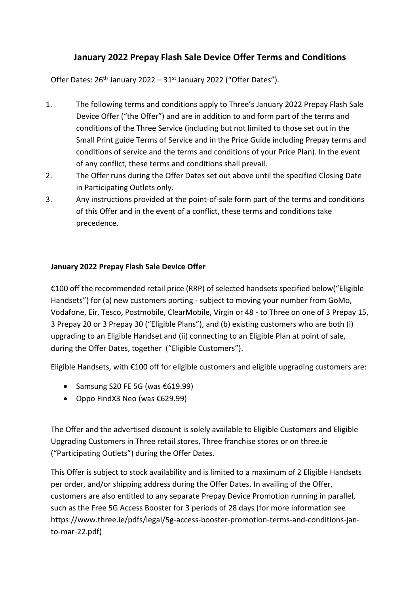## **January 2022 Prepay Flash Sale Device Offer Terms and Conditions**

Offer Dates:  $26<sup>th</sup>$  January 2022 –  $31<sup>st</sup>$  January 2022 ("Offer Dates").

- 1. The following terms and conditions apply to Three's January 2022 Prepay Flash Sale Device Offer ("the Offer") and are in addition to and form part of the terms and conditions of the Three Service (including but not limited to those set out in the Small Print guide Terms of Service and in the Price Guide including Prepay terms and conditions of service and the terms and conditions of your Price Plan). In the event of any conflict, these terms and conditions shall prevail.
- 2. The Offer runs during the Offer Dates set out above until the specified Closing Date in Participating Outlets only.
- 3. Any instructions provided at the point-of-sale form part of the terms and conditions of this Offer and in the event of a conflict, these terms and conditions take precedence.

## **January 2022 Prepay Flash Sale Device Offer**

€100 off the recommended retail price (RRP) of selected handsets specified below("Eligible Handsets") for (a) new customers porting - subject to moving your number from GoMo, Vodafone, Eir, Tesco, Postmobile, ClearMobile, Virgin or 48 - to Three on one of 3 Prepay 15, 3 Prepay 20 or 3 Prepay 30 ("Eligible Plans"), and (b) existing customers who are both (i) upgrading to an Eligible Handset and (ii) connecting to an Eligible Plan at point of sale, during the Offer Dates, together ("Eligible Customers").

Eligible Handsets, with €100 off for eligible customers and eligible upgrading customers are:

- Samsung S20 FE 5G (was  $£619.99$ )
- Oppo FindX3 Neo (was €629.99)

The Offer and the advertised discount is solely available to Eligible Customers and Eligible Upgrading Customers in Three retail stores, Three franchise stores or on three.ie ("Participating Outlets") during the Offer Dates.

This Offer is subject to stock availability and is limited to a maximum of 2 Eligible Handsets per order, and/or shipping address during the Offer Dates. In availing of the Offer, customers are also entitled to any separate Prepay Device Promotion running in parallel, such as the Free 5G Access Booster for 3 periods of 28 days (for more information see https://www.three.ie/pdfs/legal/5g-access-booster-promotion-terms-and-conditions-janto-mar-22.pdf)